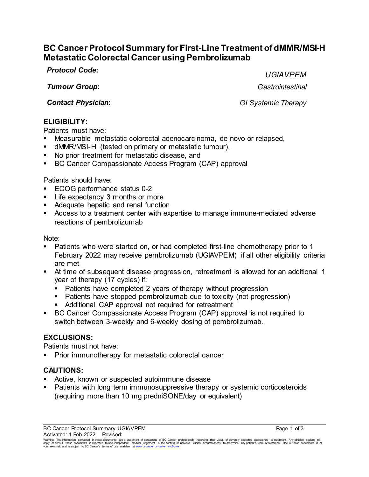# **BC Cancer Protocol Summary for First-Line Treatment of dMMR/MSI-H Metastatic Colorectal Cancer using Pembrolizumab**

*Protocol Code***:** *UGIAVPEM*

*Tumour Group***:** *Gastrointestinal*

*Contact Physician***:** *GI Systemic Therapy*

## **ELIGIBILITY:**

Patients must have:

- Measurable metastatic colorectal adenocarcinoma, de novo or relapsed,
- dMMR/MSI-H (tested on primary or metastatic tumour),
- No prior treatment for metastatic disease, and
- **BC Cancer Compassionate Access Program (CAP) approval**

Patients should have:

- ECOG performance status 0-2
- **EXPECTANCY 3 months or more**
- **Adequate hepatic and renal function**
- Access to a treatment center with expertise to manage immune-mediated adverse reactions of pembrolizumab

Note:

- Patients who were started on, or had completed first-line chemotherapy prior to 1 February 2022 may receive pembrolizumab (UGIAVPEM) if all other eligibility criteria are met
- At time of subsequent disease progression, retreatment is allowed for an additional 1 year of therapy (17 cycles) if:
	- **Patients have completed 2 years of therapy without progression**
	- Patients have stopped pembrolizumab due to toxicity (not progression)
	- Additional CAP approval not required for retreatment
- BC Cancer Compassionate Access Program (CAP) approval is not required to switch between 3-weekly and 6-weekly dosing of pembrolizumab.

# **EXCLUSIONS:**

Patients must not have:

Prior immunotherapy for metastatic colorectal cancer

# **CAUTIONS:**

- Active, known or suspected autoimmune disease
- **Patients with long term immunosuppressive therapy or systemic corticosteroids** (requiring more than 10 mg predniSONE/day or equivalent)

Warning: The information contained in these documents are a statement of consensus of BC Cancer professionals regarding their views of currently accepted approaches to treatment. Any clinician seeking to<br>apply or consult t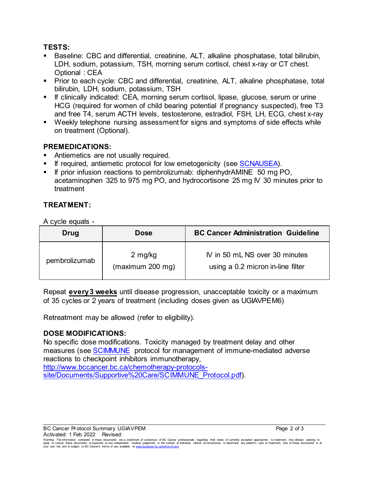### **TESTS:**

- Baseline: CBC and differential, creatinine, ALT, alkaline phosphatase, total bilirubin, LDH, sodium, potassium, TSH, morning serum cortisol, chest x-ray or CT chest. Optional : CEA
- **Prior to each cycle: CBC and differential, creatinine, ALT, alkaline phosphatase, total** bilirubin, LDH, sodium, potassium, TSH
- **If clinically indicated: CEA, morning serum cortisol, lipase, glucose, serum or urine** HCG (required for women of child bearing potential if pregnancy suspected), free T3 and free T4, serum ACTH levels, testosterone, estradiol, FSH, LH, ECG, chest x-ray
- Weekly telephone nursing assessment for signs and symptoms of side effects while on treatment (Optional).

### **PREMEDICATIONS:**

- Antiemetics are not usually required.
- If required, antiemetic protocol for low emetogenicity (see [SCNAUSEA\).](http://www.bccancer.bc.ca/chemotherapy-protocols-site/Documents/Supportive%20Care/SCNAUSEA_Protocol.pdf)
- **If prior infusion reactions to pembrolizumab: diphenhydrAMINE 50 mg PO,** acetaminophen 325 to 975 mg PO, and hydrocortisone 25 mg IV 30 minutes prior to treatment

### **TREATMENT:**

A cycle equals -

| Drug          | <b>Dose</b>                 | <b>BC Cancer Administration Guideline</b>                           |
|---------------|-----------------------------|---------------------------------------------------------------------|
| pembrolizumab | 2 mg/kg<br>(maximum 200 mg) | IV in 50 mL NS over 30 minutes<br>using a 0.2 micron in-line filter |

Repeat **every 3 weeks** until disease progression, unacceptable toxicity or a maximum of 35 cycles or 2 years of treatment (including doses given as UGIAVPEM6)

Retreatment may be allowed (refer to eligibility).

### **DOSE MODIFICATIONS:**

No specific dose modifications. Toxicity managed by treatment delay and other measures (see [SCIMMUNE](http://www.bccancer.bc.ca/chemotherapy-protocols-site/Documents/Supportive%20Care/SCIMMUNE_Protocol.pdf) protocol for management of immune-mediated adverse reactions to checkpoint inhibitors immunotherapy,

[http://www.bccancer.bc.ca/chemotherapy-protocols](http://www.bccancer.bc.ca/chemotherapy-protocols-site/Documents/Supportive%20Care/SCIMMUNE_Protocol.pdf)[site/Documents/Supportive%20Care/SCIMMUNE\\_Protocol.pdf\).](http://www.bccancer.bc.ca/chemotherapy-protocols-site/Documents/Supportive%20Care/SCIMMUNE_Protocol.pdf)

BC Cancer Protocol Summary UGIAVPEM **Page 2 of 3** and 2 of 3 Activated: 1 Feb 2022 Revised:

Warning: The information contained in these documents are a statement of consensus of BC Cancer professionals regarding their views of currently accepted approaches to treatment. Any clinician seeking to<br>apply or consult t